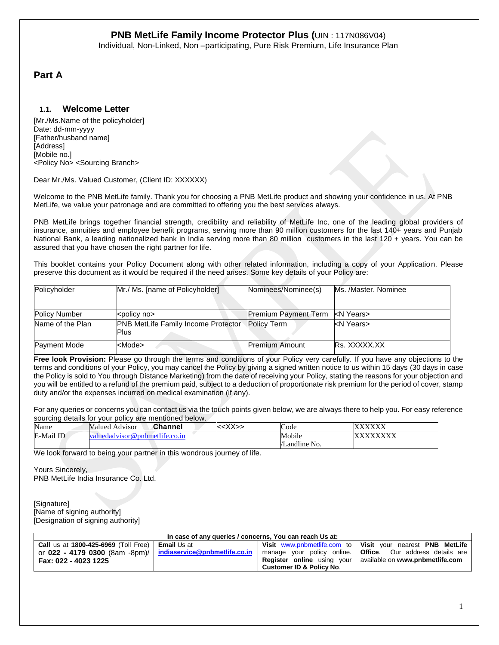Individual, Non-Linked, Non –participating, Pure Risk Premium, Life Insurance Plan

# **Part A**

## **1.1. Welcome Letter**

[Mr./Ms.Name of the policyholder] Date: dd-mm-yyyy [Father/husband name] [Address] [Mobile no.] <Policy No> <Sourcing Branch>

Dear Mr./Ms. Valued Customer, (Client ID: XXXXXX)

Welcome to the PNB MetLife family. Thank you for choosing a PNB MetLife product and showing your confidence in us. At PNB MetLife, we value your patronage and are committed to offering you the best services always.

PNB MetLife brings together financial strength, credibility and reliability of MetLife Inc, one of the leading global providers of insurance, annuities and employee benefit programs, serving more than 90 million customers for the last 140+ years and Punjab National Bank, a leading nationalized bank in India serving more than 80 million customers in the last 120 + years. You can be assured that you have chosen the right partner for life.

This booklet contains your Policy Document along with other related information, including a copy of your Application. Please preserve this document as it would be required if the need arises. Some key details of your Policy are:

| Policyholder         | Mr./ Ms. [name of Policyholder]                     | Nominees/Nominee(s)                   | Ms. /Master. Nominee |
|----------------------|-----------------------------------------------------|---------------------------------------|----------------------|
| <b>Policy Number</b> | <policy no=""></policy>                             | Premium Payment Term <n years=""></n> |                      |
| Name of the Plan     | <b>PNB MetLife Family Income Protector</b><br>lPlus | Policy Term                           | kN Years>            |
| Payment Mode         | <mode></mode>                                       | <b>Premium Amount</b>                 | Rs. XXXXX.XX         |

**Free look Provision:** Please go through the terms and conditions of your Policy very carefully. If you have any objections to the terms and conditions of your Policy, you may cancel the Policy by giving a signed written notice to us within 15 days (30 days in case the Policy is sold to You through Distance Marketing) from the date of receiving your Policy, stating the reasons for your objection and you will be entitled to a refund of the premium paid, subject to a deduction of proportionate risk premium for the period of cover, stamp duty and/or the expenses incurred on medical examination (if any).

For any queries or concerns you can contact us via the touch points given below, we are always there to help you. For easy reference sourcing details for your policy are mentioned below.

| Name      | <b>Valued Advisor</b>        | <b>Channel</b> | $YY_{X}$ | ∽<br>Code     | <b>WWW.WWW</b><br>$\Lambda$ $\Lambda$ $\Lambda$ $\Lambda$ |
|-----------|------------------------------|----------------|----------|---------------|-----------------------------------------------------------|
| E-Mail ID | iuedadyisor@pnbmetlife.co.in |                |          | Mobile        | <b>AVVVVVV</b><br>$\Lambda\Lambda\Lambda\Lambda$          |
|           |                              |                |          | /Landline No. |                                                           |

We look forward to being your partner in this wondrous journey of life.

Yours Sincerely, PNB MetLife India Insurance Co. Ltd.

[Signature] [Name of signing authority] [Designation of signing authority]

 $\mathbf{I}$ 

| In case of any queries / concerns, You can reach Us at: |  |
|---------------------------------------------------------|--|
|---------------------------------------------------------|--|

| Call us at $1800 - 425 - 6969$ (Toll Free)   Email Us at       |                                     | Visit www.pnbmetlife.com to   Visit your nearest PNB MetLife       |
|----------------------------------------------------------------|-------------------------------------|--------------------------------------------------------------------|
| or 022 - 4179 0300 (8am -8pm)/   indiaservice@pnbmetlife.co.in |                                     | manage your policy online. <b>Office</b> . Our address details are |
| Fax: 022 - 4023 1225                                           |                                     | <b>Register online</b> using your available on www.pnbmetlife.com  |
|                                                                | <b>Customer ID &amp; Policy No.</b> |                                                                    |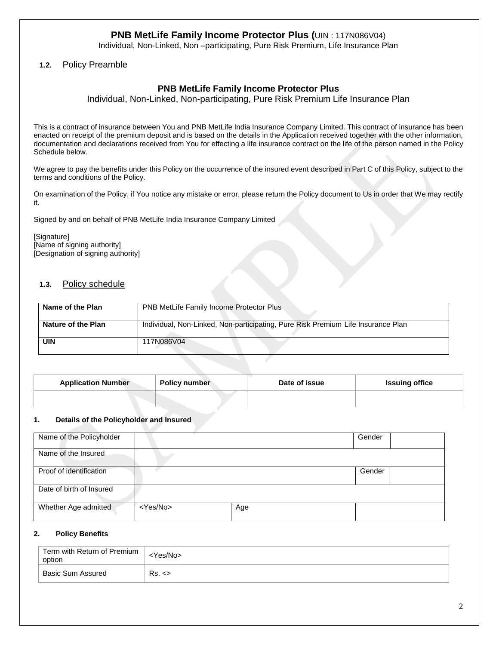Individual, Non-Linked, Non –participating, Pure Risk Premium, Life Insurance Plan

## **1.2.** Policy Preamble

## **PNB MetLife Family Income Protector Plus**

Individual, Non-Linked, Non-participating, Pure Risk Premium Life Insurance Plan

This is a contract of insurance between You and PNB MetLife India Insurance Company Limited. This contract of insurance has been enacted on receipt of the premium deposit and is based on the details in the Application received together with the other information, documentation and declarations received from You for effecting a life insurance contract on the life of the person named in the Policy Schedule below.

We agree to pay the benefits under this Policy on the occurrence of the insured event described in Part C of this Policy, subject to the terms and conditions of the Policy.

On examination of the Policy, if You notice any mistake or error, please return the Policy document to Us in order that We may rectify it.

Signed by and on behalf of PNB MetLife India Insurance Company Limited

[Signature] [Name of signing authority] [Designation of signing authority]

### **1.3.** Policy schedule

| Name of the Plan   | <b>PNB MetLife Family Income Protector Plus</b>                                  |
|--------------------|----------------------------------------------------------------------------------|
| Nature of the Plan | Individual, Non-Linked, Non-participating, Pure Risk Premium Life Insurance Plan |
| <b>UIN</b>         | 117N086V04                                                                       |

| <b>Application Number</b> | <b>Policy number</b> | Date of issue | <b>Issuing office</b> |
|---------------------------|----------------------|---------------|-----------------------|
|                           |                      |               |                       |

#### **1. Details of the Policyholder and Insured**

| Name of the Policyholder |                   |     | Gender |  |
|--------------------------|-------------------|-----|--------|--|
| Name of the Insured      |                   |     |        |  |
| Proof of identification  |                   |     | Gender |  |
| Date of birth of Insured |                   |     |        |  |
| Whether Age admitted     | <yes no=""></yes> | Age |        |  |

#### **2. Policy Benefits**

| Term with Return of Premium<br>option | Yes/No> |
|---------------------------------------|---------|
| Basic Sum Assured                     | Rs. <   |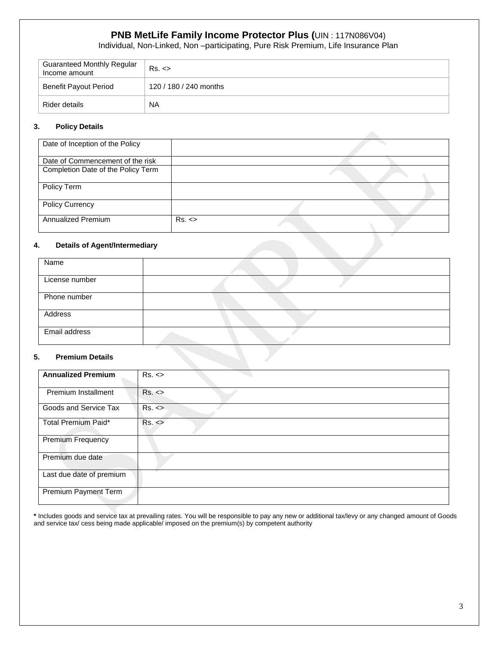Individual, Non-Linked, Non –participating, Pure Risk Premium, Life Insurance Plan

| <b>Guaranteed Monthly Regular</b><br>Income amount | Rs. <                  |
|----------------------------------------------------|------------------------|
| Benefit Payout Period                              | 120 / 180 / 240 months |
| Rider details                                      | <b>NA</b>              |

### **3. Policy Details**

| Date of Inception of the Policy    |       |  |  |
|------------------------------------|-------|--|--|
| Date of Commencement of the risk   |       |  |  |
| Completion Date of the Policy Term |       |  |  |
| Policy Term                        |       |  |  |
| <b>Policy Currency</b>             |       |  |  |
| Annualized Premium                 | Rs. < |  |  |

#### **4. Details of Agent/Intermediary**

| Name           |  |
|----------------|--|
| License number |  |
| Phone number   |  |
| Address        |  |
| Email address  |  |

#### **5. Premium Details**

| <b>Annualized Premium</b>  | Rs. < |
|----------------------------|-------|
|                            |       |
| <b>Premium Installment</b> | Rs. < |
| Goods and Service Tax      | Rs. < |
| Total Premium Paid*        | Rs. < |
| <b>Premium Frequency</b>   |       |
| Premium due date           |       |
| Last due date of premium   |       |
| Premium Payment Term       |       |

**\*** Includes goods and service tax at prevailing rates. You will be responsible to pay any new or additional tax/levy or any changed amount of Goods and service tax/ cess being made applicable/ imposed on the premium(s) by competent authority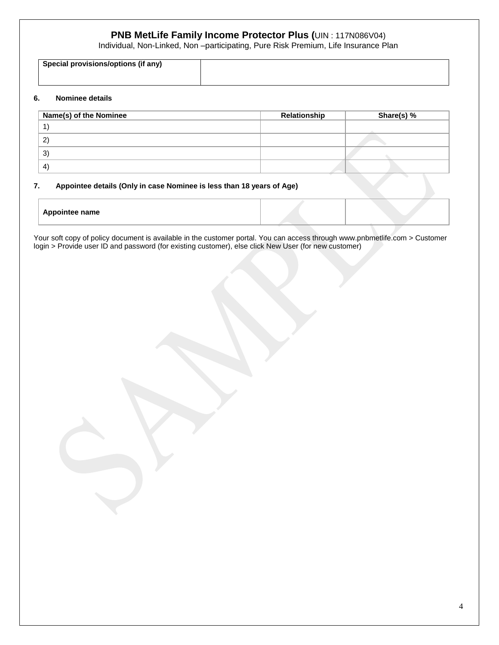Individual, Non-Linked, Non –participating, Pure Risk Premium, Life Insurance Plan

| Special provisions/options (if any) |  |
|-------------------------------------|--|
|                                     |  |
|                                     |  |
|                                     |  |
|                                     |  |
|                                     |  |

#### **6. Nominee details**

| Name(s) of the Nominee | Relationship | Share(s) % |
|------------------------|--------------|------------|
|                        |              |            |
| $\sim$                 |              |            |
| $3^{\circ}$            |              |            |
| $\overline{4}$         |              |            |

### **7. Appointee details (Only in case Nominee is less than 18 years of Age)**

| <b>Appointee name</b> |  |
|-----------------------|--|
|                       |  |

Your soft copy of policy document is available in the customer portal. You can access through www.pnbmetlife.com > Customer login > Provide user ID and password (for existing customer), else click New User (for new customer)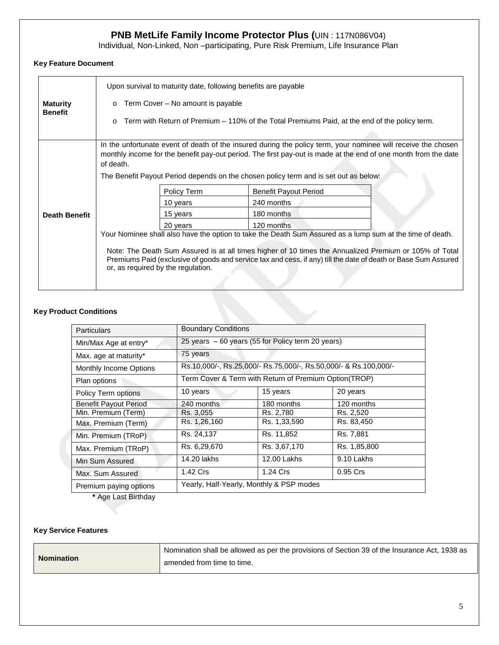Individual, Non-Linked, Non –participating, Pure Risk Premium, Life Insurance Plan

## **Key Feature Document**

| Upon survival to maturity date, following benefits are payable                                                                                                                                                                                                                                                                                                              |             |                                                                                      |
|-----------------------------------------------------------------------------------------------------------------------------------------------------------------------------------------------------------------------------------------------------------------------------------------------------------------------------------------------------------------------------|-------------|--------------------------------------------------------------------------------------|
| Term Cover – No amount is payable<br>$\Omega$                                                                                                                                                                                                                                                                                                                               |             |                                                                                      |
| Term with Return of Premium – 110% of the Total Premiums Paid, at the end of the policy term.<br>O                                                                                                                                                                                                                                                                          |             |                                                                                      |
| In the unfortunate event of death of the insured during the policy term, your nominee will receive the chosen<br>monthly income for the benefit pay-out period. The first pay-out is made at the end of one month from the date<br>of death.                                                                                                                                |             |                                                                                      |
|                                                                                                                                                                                                                                                                                                                                                                             |             | The Benefit Payout Period depends on the chosen policy term and is set out as below: |
|                                                                                                                                                                                                                                                                                                                                                                             | Policy Term | <b>Benefit Payout Period</b>                                                         |
|                                                                                                                                                                                                                                                                                                                                                                             | 10 years    | 240 months                                                                           |
|                                                                                                                                                                                                                                                                                                                                                                             | 15 years    | 180 months                                                                           |
|                                                                                                                                                                                                                                                                                                                                                                             | 20 years    | 120 months                                                                           |
| Your Nominee shall also have the option to take the Death Sum Assured as a lump sum at the time of death.<br>Note: The Death Sum Assured is at all times higher of 10 times the Annualized Premium or 105% of Total<br>Premiums Paid (exclusive of goods and service tax and cess, if any) till the date of death or Base Sum Assured<br>or, as required by the regulation. |             |                                                                                      |
|                                                                                                                                                                                                                                                                                                                                                                             |             |                                                                                      |

## **Key Product Conditions**

| Particulars                   | <b>Boundary Conditions</b>                                       |              |              |
|-------------------------------|------------------------------------------------------------------|--------------|--------------|
| Min/Max Age at entry*         | 25 years - 60 years (55 for Policy term 20 years)                |              |              |
| Max. age at maturity*         | 75 years                                                         |              |              |
| <b>Monthly Income Options</b> | Rs.10,000/-, Rs.25,000/- Rs.75,000/-, Rs.50,000/- & Rs.100,000/- |              |              |
| Plan options                  | Term Cover & Term with Return of Premium Option(TROP)            |              |              |
| Policy Term options           | 10 years                                                         | 15 years     | 20 years     |
| <b>Benefit Payout Period</b>  | 240 months                                                       | 180 months   | 120 months   |
| Min. Premium (Term)           | Rs. 3,055                                                        | Rs. 2,780    | Rs. 2,520    |
| Max. Premium (Term)           | Rs. 1,26,160                                                     | Rs. 1,33,590 | Rs. 83,450   |
| Min. Premium (TRoP)           | Rs. 24,137                                                       | Rs. 11,852   | Rs. 7,881    |
| Max. Premium (TRoP)           | Rs. 6,29,670                                                     | Rs. 3,67,170 | Rs. 1,85,800 |
| Min Sum Assured               | 14.20 lakhs                                                      | 12.00 Lakhs  | 9.10 Lakhs   |
| Max. Sum Assured              | 1.42 Crs                                                         | 1.24 Crs     | 0.95 Crs     |
| Premium paying options        | Yearly, Half-Yearly, Monthly & PSP modes                         |              |              |

**\*** Age Last Birthday

## **Key Service Features**

|                   | Nomination shall be allowed as per the provisions of Section 39 of the Insurance Act, 1938 as |
|-------------------|-----------------------------------------------------------------------------------------------|
| <b>Nomination</b> | amended from time to time.                                                                    |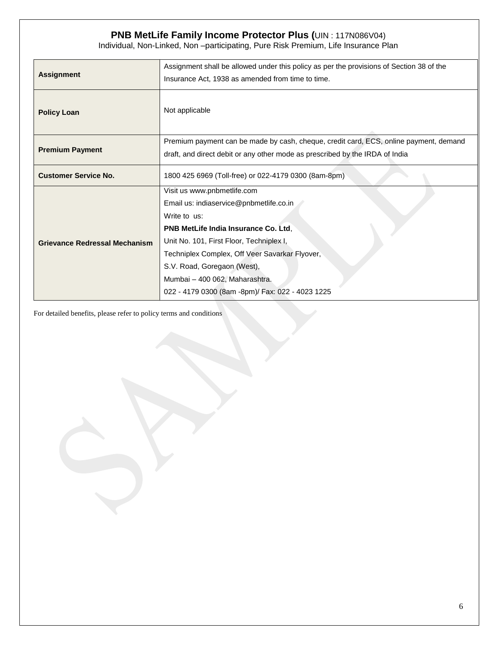Individual, Non-Linked, Non –participating, Pure Risk Premium, Life Insurance Plan

| <b>Assignment</b>                    | Assignment shall be allowed under this policy as per the provisions of Section 38 of the<br>Insurance Act, 1938 as amended from time to time. |  |
|--------------------------------------|-----------------------------------------------------------------------------------------------------------------------------------------------|--|
| <b>Policy Loan</b>                   | Not applicable                                                                                                                                |  |
| <b>Premium Payment</b>               | Premium payment can be made by cash, cheque, credit card, ECS, online payment, demand                                                         |  |
|                                      | draft, and direct debit or any other mode as prescribed by the IRDA of India                                                                  |  |
| <b>Customer Service No.</b>          | 1800 425 6969 (Toll-free) or 022-4179 0300 (8am-8pm)                                                                                          |  |
|                                      | Visit us www.pnbmetlife.com                                                                                                                   |  |
|                                      | Email us: indiaservice@pnbmetlife.co.in                                                                                                       |  |
|                                      | Write to us:                                                                                                                                  |  |
|                                      | PNB MetLife India Insurance Co. Ltd.                                                                                                          |  |
| <b>Grievance Redressal Mechanism</b> | Unit No. 101, First Floor, Techniplex I,                                                                                                      |  |
|                                      | Techniplex Complex, Off Veer Savarkar Flyover,                                                                                                |  |
|                                      | S.V. Road, Goregaon (West),                                                                                                                   |  |
|                                      | Mumbai - 400 062, Maharashtra.                                                                                                                |  |
|                                      | 022 - 4179 0300 (8am -8pm)/ Fax: 022 - 4023 1225                                                                                              |  |

For detailed benefits, please refer to policy terms and conditions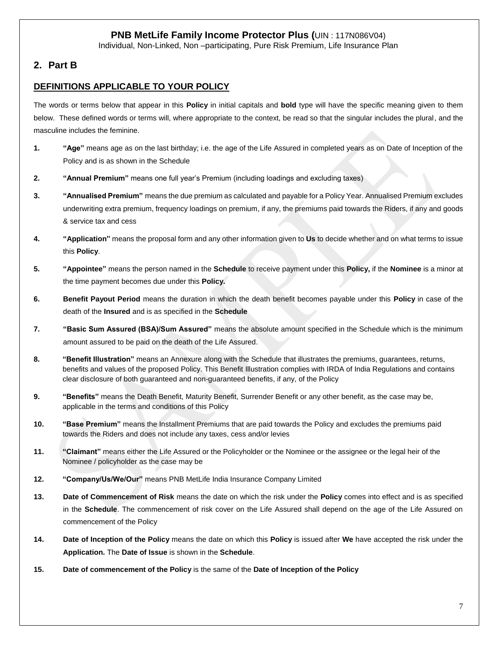Individual, Non-Linked, Non –participating, Pure Risk Premium, Life Insurance Plan

# **2. Part B**

# **DEFINITIONS APPLICABLE TO YOUR POLICY**

The words or terms below that appear in this **Policy** in initial capitals and **bold** type will have the specific meaning given to them below. These defined words or terms will, where appropriate to the context, be read so that the singular includes the plural, and the masculine includes the feminine.

- **1. "Age"** means age as on the last birthday; i.e. the age of the Life Assured in completed years as on Date of Inception of the Policy and is as shown in the Schedule
- **2. "Annual Premium"** means one full year's Premium (including loadings and excluding taxes)
- **3. "Annualised Premium"** means the due premium as calculated and payable for a Policy Year. Annualised Premium excludes underwriting extra premium, frequency loadings on premium, if any, the premiums paid towards the Riders, if any and goods & service tax and cess
- **4. "Application"** means the proposal form and any other information given to **Us** to decide whether and on what terms to issue this **Policy**.
- **5. "Appointee"** means the person named in the **Schedule** to receive payment under this **Policy,** if the **Nominee** is a minor at the time payment becomes due under this **Policy.**
- **6. Benefit Payout Period** means the duration in which the death benefit becomes payable under this **Policy** in case of the death of the **Insured** and is as specified in the **Schedule**
- **7. "Basic Sum Assured (BSA)/Sum Assured"** means the absolute amount specified in the Schedule which is the minimum amount assured to be paid on the death of the Life Assured.
- **8. "Benefit Illustration"** means an Annexure along with the Schedule that illustrates the premiums, guarantees, returns, benefits and values of the proposed Policy. This Benefit Illustration complies with IRDA of India Regulations and contains clear disclosure of both guaranteed and non-guaranteed benefits, if any, of the Policy
- **9. "Benefits"** means the Death Benefit, Maturity Benefit, Surrender Benefit or any other benefit, as the case may be, applicable in the terms and conditions of this Policy
- **10. "Base Premium"** means the Installment Premiums that are paid towards the Policy and excludes the premiums paid towards the Riders and does not include any taxes, cess and/or levies
- **11. "Claimant"** means either the Life Assured or the Policyholder or the Nominee or the assignee or the legal heir of the Nominee / policyholder as the case may be
- **12. "Company/Us/We/Our"** means PNB MetLife India Insurance Company Limited
- **13. Date of Commencement of Risk** means the date on which the risk under the **Policy** comes into effect and is as specified in the **Schedule**. The commencement of risk cover on the Life Assured shall depend on the age of the Life Assured on commencement of the Policy
- **14. Date of Inception of the Policy** means the date on which this **Policy** is issued after **We** have accepted the risk under the **Application.** The **Date of Issue** is shown in the **Schedule**.
- **15. Date of commencement of the Policy** is the same of the **Date of Inception of the Policy**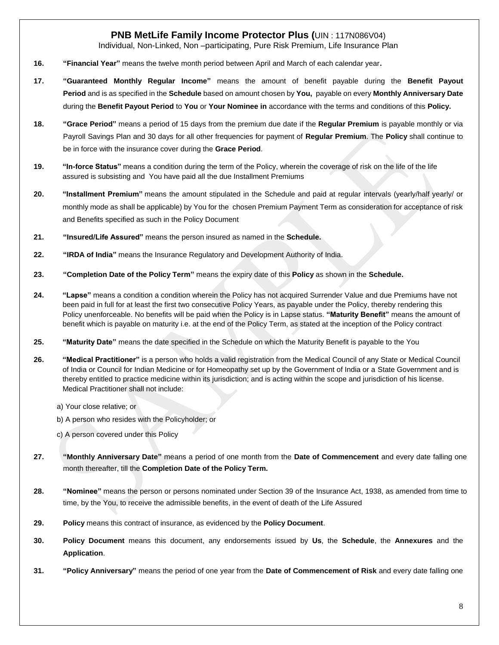Individual, Non-Linked, Non –participating, Pure Risk Premium, Life Insurance Plan

- **16. "Financial Year"** means the twelve month period between April and March of each calendar year**.**
- **17. "Guaranteed Monthly Regular Income"** means the amount of benefit payable during the **Benefit Payout Period** and is as specified in the **Schedule** based on amount chosen by **You,** payable on every **Monthly Anniversary Date** during the **Benefit Payout Period** to **You** or **Your Nominee in** accordance with the terms and conditions of this **Policy.**
- **18. "Grace Period"** means a period of 15 days from the premium due date if the **Regular Premium** is payable monthly or via Payroll Savings Plan and 30 days for all other frequencies for payment of **Regular Premium**. The **Policy** shall continue to be in force with the insurance cover during the **Grace Period**.
- **19. "In-force Status"** means a condition during the term of the Policy, wherein the coverage of risk on the life of the life assured is subsisting and You have paid all the due Installment Premiums
- **20. "Installment Premium"** means the amount stipulated in the Schedule and paid at regular intervals (yearly/half yearly/ or monthly mode as shall be applicable) by You for the chosen Premium Payment Term as consideration for acceptance of risk and Benefits specified as such in the Policy Document
- **21. "Insured/Life Assured"** means the person insured as named in the **Schedule.**
- **22. "IRDA of India"** means the Insurance Regulatory and Development Authority of India.
- **23. "Completion Date of the Policy Term"** means the expiry date of this **Policy** as shown in the **Schedule.**
- **24. "Lapse"** means a condition a condition wherein the Policy has not acquired Surrender Value and due Premiums have not been paid in full for at least the first two consecutive Policy Years, as payable under the Policy, thereby rendering this Policy unenforceable. No benefits will be paid when the Policy is in Lapse status. **"Maturity Benefit"** means the amount of benefit which is payable on maturity i.e. at the end of the Policy Term, as stated at the inception of the Policy contract
- **25. "Maturity Date"** means the date specified in the Schedule on which the Maturity Benefit is payable to the You
- **26. "Medical Practitioner"** is a person who holds a valid registration from the Medical Council of any State or Medical Council of India or Council for Indian Medicine or for Homeopathy set up by the Government of India or a State Government and is thereby entitled to practice medicine within its jurisdiction; and is acting within the scope and jurisdiction of his license. Medical Practitioner shall not include:
	- a) Your close relative; or
	- b) A person who resides with the Policyholder; or
	- c) A person covered under this Policy
- **27. "Monthly Anniversary Date"** means a period of one month from the **Date of Commencement** and every date falling one month thereafter, till the **Completion Date of the Policy Term.**
- **28. "Nominee"** means the person or persons nominated under Section 39 of the Insurance Act, 1938, as amended from time to time, by the You, to receive the admissible benefits, in the event of death of the Life Assured
- **29. Policy** means this contract of insurance, as evidenced by the **Policy Document**.
- **30. Policy Document** means this document, any endorsements issued by **Us**, the **Schedule**, the **Annexures** and the **Application**.
- **31. "Policy Anniversary"** means the period of one year from the **Date of Commencement of Risk** and every date falling one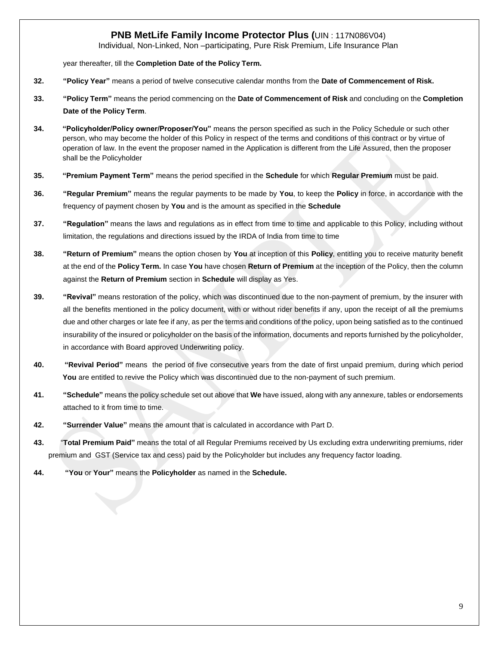Individual, Non-Linked, Non –participating, Pure Risk Premium, Life Insurance Plan

year thereafter, till the **Completion Date of the Policy Term.**

- **32. "Policy Year"** means a period of twelve consecutive calendar months from the **Date of Commencement of Risk.**
- **33. "Policy Term"** means the period commencing on the **Date of Commencement of Risk** and concluding on the **Completion Date of the Policy Term**.
- **34. "Policyholder/Policy owner/Proposer/You"** means the person specified as such in the Policy Schedule or such other person, who may become the holder of this Policy in respect of the terms and conditions of this contract or by virtue of operation of law. In the event the proposer named in the Application is different from the Life Assured, then the proposer shall be the Policyholder
- **35. "Premium Payment Term"** means the period specified in the **Schedule** for which **Regular Premium** must be paid.
- **36. "Regular Premium"** means the regular payments to be made by **You**, to keep the **Policy** in force, in accordance with the frequency of payment chosen by **You** and is the amount as specified in the **Schedule**
- **37. "Regulation"** means the laws and regulations as in effect from time to time and applicable to this Policy, including without limitation, the regulations and directions issued by the IRDA of India from time to time
- **38. "Return of Premium"** means the option chosen by **You** at inception of this **Policy**, entitling you to receive maturity benefit at the end of the **Policy Term.** In case **You** have chosen **Return of Premium** at the inception of the Policy, then the column against the **Return of Premium** section in **Schedule** will display as Yes.
- **39. "Revival"** means restoration of the policy, which was discontinued due to the non-payment of premium, by the insurer with all the benefits mentioned in the policy document, with or without rider benefits if any, upon the receipt of all the premiums due and other charges or late fee if any, as per the terms and conditions of the policy, upon being satisfied as to the continued insurability of the insured or policyholder on the basis of the information, documents and reports furnished by the policyholder, in accordance with Board approved Underwriting policy.
- **40. "Revival Period"** means the period of five consecutive years from the date of first unpaid premium, during which period **You** are entitled to revive the Policy which was discontinued due to the non-payment of such premium.
- **41. "Schedule"** means the policy schedule set out above that **We** have issued, along with any annexure, tables or endorsements attached to it from time to time.
- **42. "Surrender Value"** means the amount that is calculated in accordance with Part D.
- **43.** "**Total Premium Paid"** means the total of all Regular Premiums received by Us excluding extra underwriting premiums, rider premium and GST (Service tax and cess) paid by the Policyholder but includes any frequency factor loading.
- **44. "You** or **Your"** means the **Policyholder** as named in the **Schedule.**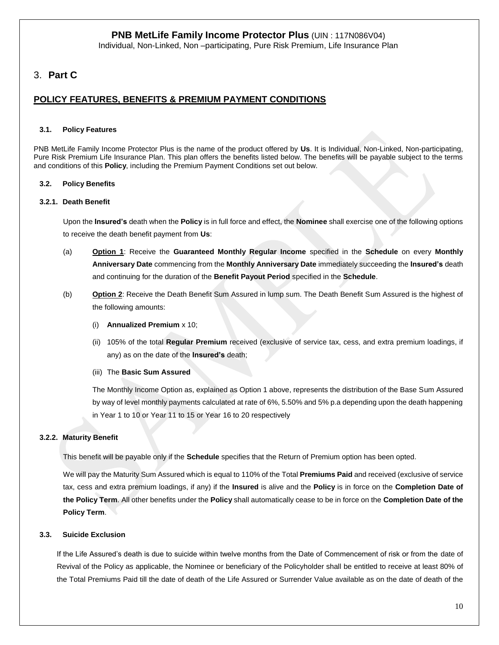Individual, Non-Linked, Non –participating, Pure Risk Premium, Life Insurance Plan

# 3. **Part C**

# **POLICY FEATURES, BENEFITS & PREMIUM PAYMENT CONDITIONS**

### **3.1. Policy Features**

PNB MetLife Family Income Protector Plus is the name of the product offered by **Us**. It is Individual, Non-Linked, Non-participating, Pure Risk Premium Life Insurance Plan. This plan offers the benefits listed below. The benefits will be payable subject to the terms and conditions of this **Policy**, including the Premium Payment Conditions set out below.

## **3.2. Policy Benefits**

### **3.2.1. Death Benefit**

Upon the **Insured's** death when the **Policy** is in full force and effect, the **Nominee** shall exercise one of the following options to receive the death benefit payment from **Us**:

- (a) **Option 1**: Receive the **Guaranteed Monthly Regular Income** specified in the **Schedule** on every **Monthly Anniversary Date** commencing from the **Monthly Anniversary Date** immediately succeeding the **Insured's** death and continuing for the duration of the **Benefit Payout Period** specified in the **Schedule**.
- (b) **Option 2**: Receive the Death Benefit Sum Assured in lump sum. The Death Benefit Sum Assured is the highest of the following amounts:
	- (i) **Annualized Premium** x 10;
	- (ii) 105% of the total **Regular Premium** received (exclusive of service tax, cess, and extra premium loadings, if any) as on the date of the **Insured's** death;
	- (iii) The **Basic Sum Assured**

The Monthly Income Option as, explained as Option 1 above, represents the distribution of the Base Sum Assured by way of level monthly payments calculated at rate of 6%, 5.50% and 5% p.a depending upon the death happening in Year 1 to 10 or Year 11 to 15 or Year 16 to 20 respectively

## **3.2.2. Maturity Benefit**

This benefit will be payable only if the **Schedule** specifies that the Return of Premium option has been opted.

We will pay the Maturity Sum Assured which is equal to 110% of the Total **Premiums Paid** and received (exclusive of service tax, cess and extra premium loadings, if any) if the **Insured** is alive and the **Policy** is in force on the **Completion Date of the Policy Term**. All other benefits under the **Policy** shall automatically cease to be in force on the **Completion Date of the Policy Term**.

## **3.3. Suicide Exclusion**

If the Life Assured's death is due to suicide within twelve months from the Date of Commencement of risk or from the date of Revival of the Policy as applicable, the Nominee or beneficiary of the Policyholder shall be entitled to receive at least 80% of the Total Premiums Paid till the date of death of the Life Assured or Surrender Value available as on the date of death of the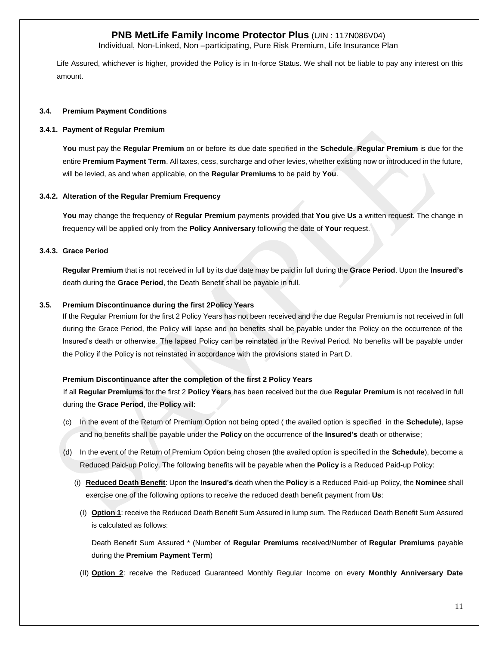Individual, Non-Linked, Non –participating, Pure Risk Premium, Life Insurance Plan

Life Assured, whichever is higher, provided the Policy is in In-force Status. We shall not be liable to pay any interest on this amount.

#### **3.4. Premium Payment Conditions**

#### **3.4.1. Payment of Regular Premium**

**You** must pay the **Regular Premium** on or before its due date specified in the **Schedule**. **Regular Premium** is due for the entire **Premium Payment Term**. All taxes, cess, surcharge and other levies, whether existing now or introduced in the future, will be levied, as and when applicable, on the **Regular Premiums** to be paid by **You**.

#### **3.4.2. Alteration of the Regular Premium Frequency**

**You** may change the frequency of **Regular Premium** payments provided that **You** give **Us** a written request. The change in frequency will be applied only from the **Policy Anniversary** following the date of **Your** request.

#### **3.4.3. Grace Period**

**Regular Premium** that is not received in full by its due date may be paid in full during the **Grace Period**. Upon the **Insured's** death during the **Grace Period**, the Death Benefit shall be payable in full.

#### **3.5. Premium Discontinuance during the first 2Policy Years**

If the Regular Premium for the first 2 Policy Years has not been received and the due Regular Premium is not received in full during the Grace Period, the Policy will lapse and no benefits shall be payable under the Policy on the occurrence of the Insured's death or otherwise. The lapsed Policy can be reinstated in the Revival Period. No benefits will be payable under the Policy if the Policy is not reinstated in accordance with the provisions stated in Part D.

#### **Premium Discontinuance after the completion of the first 2 Policy Years**

If all **Regular Premiums** for the first 2 **Policy Years** has been received but the due **Regular Premium** is not received in full during the **Grace Period**, the **Policy** will:

- (c) In the event of the Return of Premium Option not being opted ( the availed option is specified in the **Schedule**), lapse and no benefits shall be payable under the **Policy** on the occurrence of the **Insured's** death or otherwise;
- (d) In the event of the Return of Premium Option being chosen (the availed option is specified in the **Schedule**), become a Reduced Paid-up Policy. The following benefits will be payable when the **Policy** is a Reduced Paid-up Policy:
	- (i) **Reduced Death Benefit**: Upon the **Insured's** death when the **Policy** is a Reduced Paid-up Policy, the **Nominee** shall exercise one of the following options to receive the reduced death benefit payment from **Us**:
		- (I) **Option 1**: receive the Reduced Death Benefit Sum Assured in lump sum. The Reduced Death Benefit Sum Assured is calculated as follows:

Death Benefit Sum Assured \* (Number of **Regular Premiums** received/Number of **Regular Premiums** payable during the **Premium Payment Term**)

(II) **Option 2**: receive the Reduced Guaranteed Monthly Regular Income on every **Monthly Anniversary Date**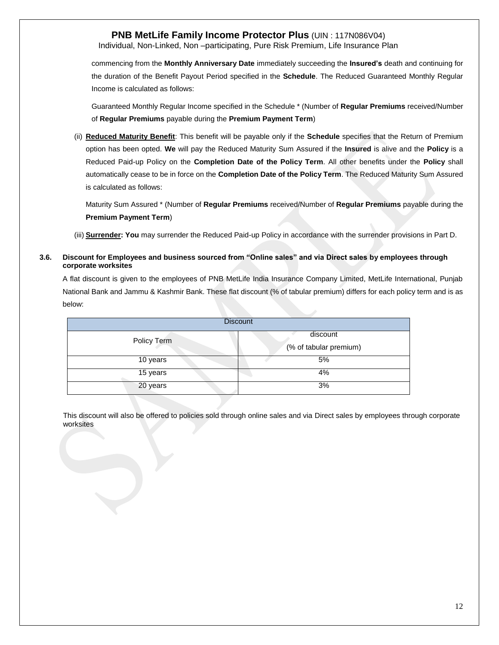Individual, Non-Linked, Non –participating, Pure Risk Premium, Life Insurance Plan

commencing from the **Monthly Anniversary Date** immediately succeeding the **Insured's** death and continuing for the duration of the Benefit Payout Period specified in the **Schedule**. The Reduced Guaranteed Monthly Regular Income is calculated as follows:

Guaranteed Monthly Regular Income specified in the Schedule \* (Number of **Regular Premiums** received/Number of **Regular Premiums** payable during the **Premium Payment Term**)

(ii) **Reduced Maturity Benefit**: This benefit will be payable only if the **Schedule** specifies that the Return of Premium option has been opted. **We** will pay the Reduced Maturity Sum Assured if the **Insured** is alive and the **Policy** is a Reduced Paid-up Policy on the **Completion Date of the Policy Term**. All other benefits under the **Policy** shall automatically cease to be in force on the **Completion Date of the Policy Term**. The Reduced Maturity Sum Assured is calculated as follows:

Maturity Sum Assured \* (Number of **Regular Premiums** received/Number of **Regular Premiums** payable during the **Premium Payment Term**)

(iii) **Surrender: You** may surrender the Reduced Paid-up Policy in accordance with the surrender provisions in Part D.

### **3.6. Discount for Employees and business sourced from "Online sales" and via Direct sales by employees through corporate worksites**

A flat discount is given to the employees of PNB MetLife India Insurance Company Limited, MetLife International, Punjab National Bank and Jammu & Kashmir Bank. These flat discount (% of tabular premium) differs for each policy term and is as below:

| <b>Discount</b> |                                    |  |
|-----------------|------------------------------------|--|
| Policy Term     | discount<br>(% of tabular premium) |  |
| 10 years        | 5%                                 |  |
| 15 years        | 4%                                 |  |
| 20 years        | 3%                                 |  |

This discount will also be offered to policies sold through online sales and via Direct sales by employees through corporate worksites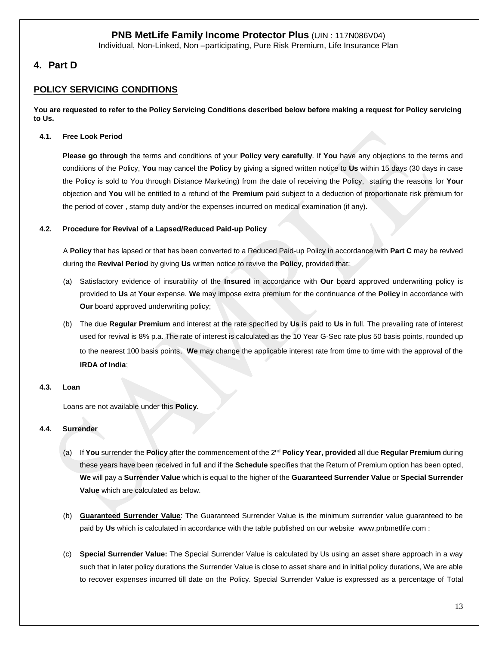Individual, Non-Linked, Non –participating, Pure Risk Premium, Life Insurance Plan

# **4. Part D**

# **POLICY SERVICING CONDITIONS**

**You are requested to refer to the Policy Servicing Conditions described below before making a request for Policy servicing to Us.**

#### **4.1. Free Look Period**

**Please go through** the terms and conditions of your **Policy very carefully**. If **You** have any objections to the terms and conditions of the Policy, **You** may cancel the **Policy** by giving a signed written notice to **Us** within 15 days (30 days in case the Policy is sold to You through Distance Marketing) from the date of receiving the Policy, stating the reasons for **Your**  objection and **You** will be entitled to a refund of the **Premium** paid subject to a deduction of proportionate risk premium for the period of cover , stamp duty and/or the expenses incurred on medical examination (if any).

#### **4.2. Procedure for Revival of a Lapsed/Reduced Paid-up Policy**

A **Policy** that has lapsed or that has been converted to a Reduced Paid-up Policy in accordance with **Part C** may be revived during the **Revival Period** by giving **Us** written notice to revive the **Policy**, provided that:

- (a) Satisfactory evidence of insurability of the **Insured** in accordance with **Our** board approved underwriting policy is provided to **Us** at **Your** expense. **We** may impose extra premium for the continuance of the **Policy** in accordance with **Our** board approved underwriting policy;
- (b) The due **Regular Premium** and interest at the rate specified by **Us** is paid to **Us** in full. The prevailing rate of interest used for revival is 8% p.a. The rate of interest is calculated as the 10 Year G-Sec rate plus 50 basis points, rounded up to the nearest 100 basis points. **We** may change the applicable interest rate from time to time with the approval of the **IRDA of India**;

#### **4.3. Loan**

Loans are not available under this **Policy**.

### **4.4. Surrender**

- (a) If **You** surrender the **Policy** after the commencement of the 2<sup>nd</sup> Poli**cy Year, provided** all due Regular Premium during these years have been received in full and if the **Schedule** specifies that the Return of Premium option has been opted, **We** will pay a **Surrender Value** which is equal to the higher of the **Guaranteed Surrender Value** or **Special Surrender Value** which are calculated as below.
- (b) **Guaranteed Surrender Value**: The Guaranteed Surrender Value is the minimum surrender value guaranteed to be paid by **Us** which is calculated in accordance with the table published on our website [www.pnbmetlife.com](http://www.pnbmetlife.com/) :
- (c) **Special Surrender Value:** The Special Surrender Value is calculated by Us using an asset share approach in a way such that in later policy durations the Surrender Value is close to asset share and in initial policy durations, We are able to recover expenses incurred till date on the Policy. Special Surrender Value is expressed as a percentage of Total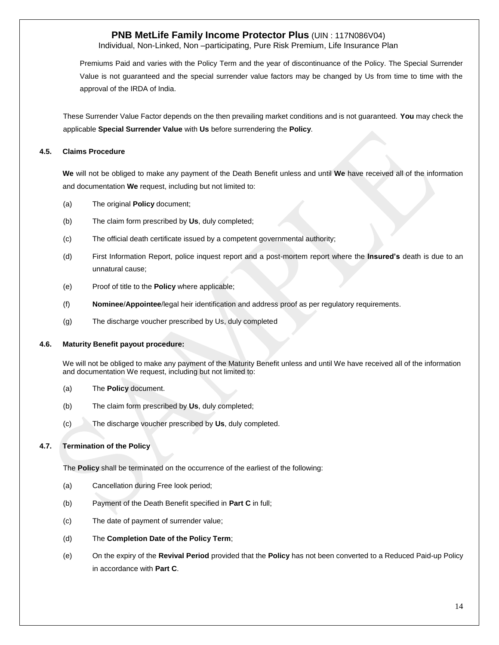Individual, Non-Linked, Non –participating, Pure Risk Premium, Life Insurance Plan

Premiums Paid and varies with the Policy Term and the year of discontinuance of the Policy. The Special Surrender Value is not guaranteed and the special surrender value factors may be changed by Us from time to time with the approval of the IRDA of India.

These Surrender Value Factor depends on the then prevailing market conditions and is not guaranteed. **You** may check the applicable **Special Surrender Value** with **Us** before surrendering the **Policy**.

#### **4.5. Claims Procedure**

**We** will not be obliged to make any payment of the Death Benefit unless and until **We** have received all of the information and documentation **We** request, including but not limited to:

- (a) The original **Policy** document;
- (b) The claim form prescribed by **Us**, duly completed;
- (c) The official death certificate issued by a competent governmental authority;
- (d) First Information Report, police inquest report and a post-mortem report where the **Insured's** death is due to an unnatural cause;
- (e) Proof of title to the **Policy** where applicable;
- (f) **Nominee**/**Appointee**/legal heir identification and address proof as per regulatory requirements.
- (g) The discharge voucher prescribed by Us, duly completed

#### **4.6. Maturity Benefit payout procedure:**

We will not be obliged to make any payment of the Maturity Benefit unless and until We have received all of the information and documentation We request, including but not limited to:

- (a) The **Policy** document.
- (b) The claim form prescribed by **Us**, duly completed;
- (c) The discharge voucher prescribed by **Us**, duly completed.

### **4.7. Termination of the Policy**

The **Policy** shall be terminated on the occurrence of the earliest of the following:

- (a) Cancellation during Free look period;
- (b) Payment of the Death Benefit specified in **Part C** in full;
- (c) The date of payment of surrender value;
- (d) The **Completion Date of the Policy Term**;
- (e) On the expiry of the **Revival Period** provided that the **Policy** has not been converted to a Reduced Paid-up Policy in accordance with **Part C**.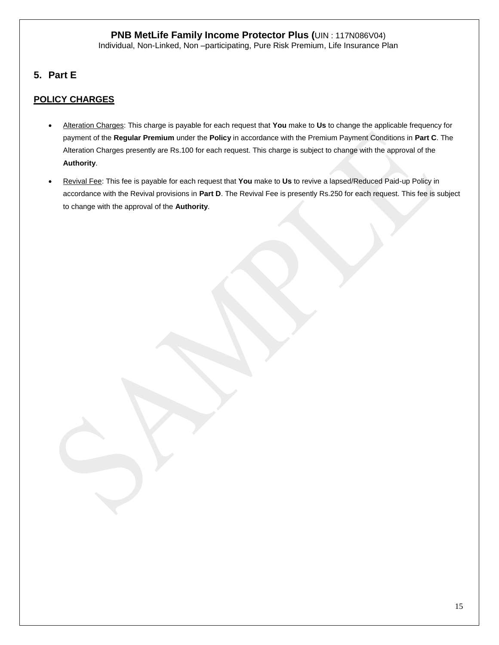**5. Part E**

# **POLICY CHARGES**

- Alteration Charges: This charge is payable for each request that **You** make to **Us** to change the applicable frequency for payment of the **Regular Premium** under the **Policy** in accordance with the Premium Payment Conditions in **Part C**. The Alteration Charges presently are Rs.100 for each request. This charge is subject to change with the approval of the **Authority**.
- Revival Fee: This fee is payable for each request that **You** make to **Us** to revive a lapsed/Reduced Paid-up Policy in accordance with the Revival provisions in **Part D**. The Revival Fee is presently Rs.250 for each request. This fee is subject to change with the approval of the **Authority**.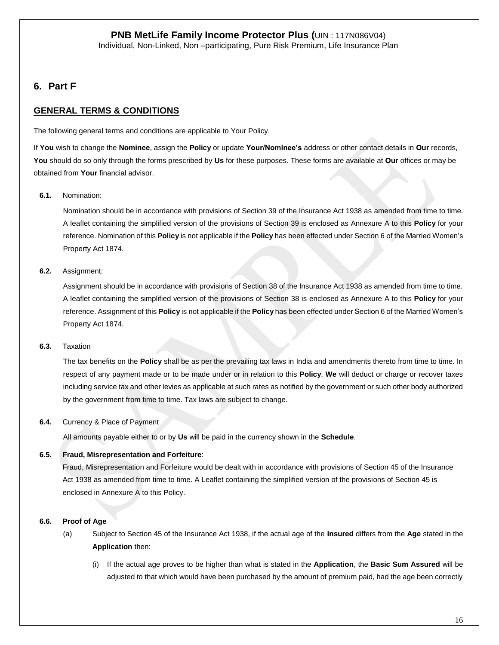# **6. Part F**

# **GENERAL TERMS & CONDITIONS**

The following general terms and conditions are applicable to Your Policy.

If **You** wish to change the **Nominee**, assign the **Policy** or update **Your/Nominee's** address or other contact details in **Our** records, **You** should do so only through the forms prescribed by **Us** for these purposes. These forms are available at **Our** offices or may be obtained from **Your** financial advisor.

## **6.1.** Nomination:

Nomination should be in accordance with provisions of Section 39 of the Insurance Act 1938 as amended from time to time. A leaflet containing the simplified version of the provisions of Section 39 is enclosed as Annexure A to this **Policy** for your reference. Nomination of this **Policy** is not applicable if the **Policy** has been effected under Section 6 of the Married Women's Property Act 1874.

## **6.2.** Assignment:

Assignment should be in accordance with provisions of Section 38 of the Insurance Act 1938 as amended from time to time. A leaflet containing the simplified version of the provisions of Section 38 is enclosed as Annexure A to this **Policy** for your reference. Assignment of this **Policy** is not applicable if the **Policy** has been effected under Section 6 of the Married Women's Property Act 1874.

### **6.3.** Taxation

The tax benefits on the **Policy** shall be as per the prevailing tax laws in India and amendments thereto from time to time. In respect of any payment made or to be made under or in relation to this **Policy**, **We** will deduct or charge or recover taxes including service tax and other levies as applicable at such rates as notified by the government or such other body authorized by the government from time to time. Tax laws are subject to change.

### **6.4.** Currency & Place of Payment

All amounts payable either to or by **Us** will be paid in the currency shown in the **Schedule**.

## **6.5. Fraud, Misrepresentation and Forfeiture**:

Fraud, Misrepresentation and Forfeiture would be dealt with in accordance with provisions of Section 45 of the Insurance Act 1938 as amended from time to time. A Leaflet containing the simplified version of the provisions of Section 45 is enclosed in Annexure A to this Policy.

## **6.6. Proof of Age**

- (a) Subject to Section 45 of the Insurance Act 1938, if the actual age of the **Insured** differs from the **Age** stated in the **Application** then:
	- (i) If the actual age proves to be higher than what is stated in the **Application**, the **Basic Sum Assured** will be adjusted to that which would have been purchased by the amount of premium paid, had the age been correctly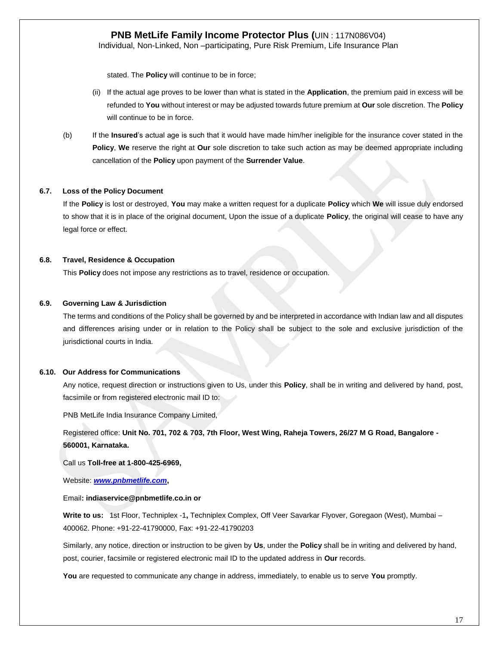Individual, Non-Linked, Non –participating, Pure Risk Premium, Life Insurance Plan

stated. The **Policy** will continue to be in force;

- (ii) If the actual age proves to be lower than what is stated in the **Application**, the premium paid in excess will be refunded to **You** without interest or may be adjusted towards future premium at **Our** sole discretion. The **Policy** will continue to be in force.
- (b) If the **Insured**'s actual age is such that it would have made him/her ineligible for the insurance cover stated in the **Policy**, **We** reserve the right at **Our** sole discretion to take such action as may be deemed appropriate including cancellation of the **Policy** upon payment of the **Surrender Value**.

#### **6.7. Loss of the Policy Document**

If the **Policy** is lost or destroyed, **You** may make a written request for a duplicate **Policy** which **We** will issue duly endorsed to show that it is in place of the original document, Upon the issue of a duplicate **Policy**, the original will cease to have any legal force or effect.

#### **6.8. Travel, Residence & Occupation**

This **Policy** does not impose any restrictions as to travel, residence or occupation.

#### **6.9. Governing Law & Jurisdiction**

The terms and conditions of the Policy shall be governed by and be interpreted in accordance with Indian law and all disputes and differences arising under or in relation to the Policy shall be subject to the sole and exclusive jurisdiction of the jurisdictional courts in India.

#### **6.10. Our Address for Communications**

Any notice, request direction or instructions given to Us, under this **Policy**, shall be in writing and delivered by hand, post, facsimile or from registered electronic mail ID to:

PNB MetLife India Insurance Company Limited,

Registered office: **Unit No. 701, 702 & 703, 7th Floor, West Wing, Raheja Towers, 26/27 M G Road, Bangalore - 560001, Karnataka.** 

Call us **Toll-free at 1-800-425-6969,** 

Website: *[www.pnbmetlife.com](http://www.pnbmetlife.com/)***,** 

#### Email**: indiaservice@pnbmetlife.co.in or**

**Write to us:** 1st Floor, Techniplex -1**,** Techniplex Complex, Off Veer Savarkar Flyover, Goregaon (West), Mumbai – 400062. Phone: +91-22-41790000, Fax: +91-22-41790203

Similarly, any notice, direction or instruction to be given by **Us**, under the **Policy** shall be in writing and delivered by hand, post, courier, facsimile or registered electronic mail ID to the updated address in **Our** records.

**You** are requested to communicate any change in address, immediately, to enable us to serve **You** promptly.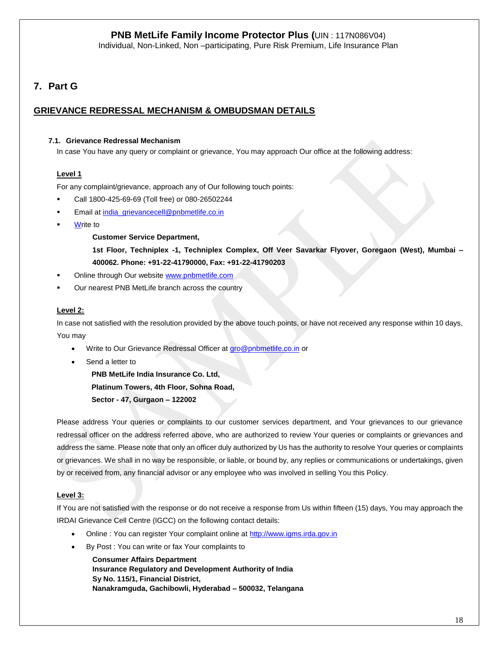Individual, Non-Linked, Non –participating, Pure Risk Premium, Life Insurance Plan

# **7. Part G**

# **GRIEVANCE REDRESSAL MECHANISM & OMBUDSMAN DETAILS**

## **7.1. Grievance Redressal Mechanism**

In case You have any query or complaint or grievance, You may approach Our office at the following address:

## **Level 1**

For any complaint/grievance, approach any of Our following touch points:

- Call 1800-425-69-69 (Toll free) or 080-26502244
- Email at [india\\_grievancecell@pnbmetlife.co.in](mailto:india_grievancecell@pnbmetlife.co.in)
- **Write to**

### **Customer Service Department,**

**1st Floor, Techniplex -1, Techniplex Complex, Off Veer Savarkar Flyover, Goregaon (West), Mumbai – 400062. Phone: +91-22-41790000, Fax: +91-22-41790203**

- Online through Our website [www.pnbmetlife.com](http://www.pnbmetlife.com/)
- Our nearest PNB MetLife branch across the country

## **Level 2:**

In case not satisfied with the resolution provided by the above touch points, or have not received any response within 10 days, You may

- Write to Our Grievance Redressal Officer at [gro@pnbmetlife.co.in](mailto:gro@pnbmetlife.co.in) or
- Send a letter to

**PNB MetLife India Insurance Co. Ltd,**

**Platinum Towers, 4th Floor, Sohna Road,** 

**Sector - 47, Gurgaon – 122002**

Please address Your queries or complaints to our customer services department, and Your grievances to our grievance redressal officer on the address referred above, who are authorized to review Your queries or complaints or grievances and address the same. Please note that only an officer duly authorized by Us has the authority to resolve Your queries or complaints or grievances. We shall in no way be responsible, or liable, or bound by, any replies or communications or undertakings, given by or received from, any financial advisor or any employee who was involved in selling You this Policy.

## **Level 3:**

If You are not satisfied with the response or do not receive a response from Us within fifteen (15) days, You may approach the IRDAI Grievance Cell Centre (IGCC) on the following contact details:

- Online : You can register Your complaint online at [http://www.igms.irda.gov.in](http://www.igms.irda.gov.in/)
- By Post : You can write or fax Your complaints to

**Consumer Affairs Department Insurance Regulatory and Development Authority of India Sy No. 115/1, Financial District, Nanakramguda, Gachibowli, Hyderabad – 500032, Telangana**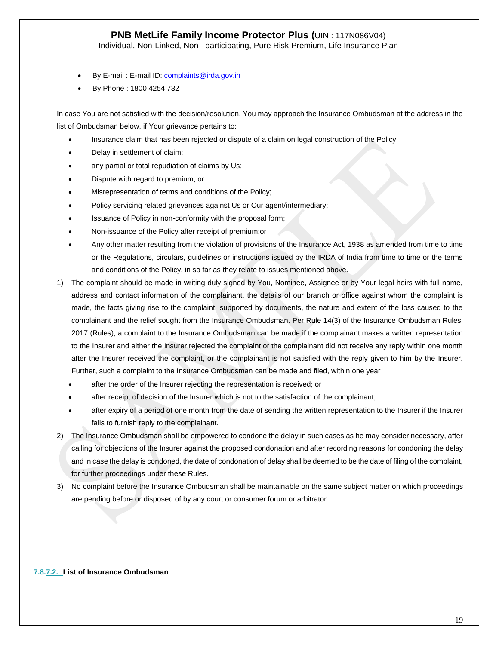Individual, Non-Linked, Non –participating, Pure Risk Premium, Life Insurance Plan

- By E-mail : E-mail ID[: complaints@irda.gov.in](mailto:complaints@irda.gov.in)
- By Phone : 1800 4254 732

In case You are not satisfied with the decision/resolution, You may approach the Insurance Ombudsman at the address in the list of Ombudsman below, if Your grievance pertains to:

- Insurance claim that has been rejected or dispute of a claim on legal construction of the Policy;
- Delay in settlement of claim;
- any partial or total repudiation of claims by Us;
- Dispute with regard to premium; or
- Misrepresentation of terms and conditions of the Policy;
- Policy servicing related grievances against Us or Our agent/intermediary;
- Issuance of Policy in non-conformity with the proposal form;
- Non-issuance of the Policy after receipt of premium;or
- Any other matter resulting from the violation of provisions of the Insurance Act, 1938 as amended from time to time or the Regulations, circulars, guidelines or instructions issued by the IRDA of India from time to time or the terms and conditions of the Policy, in so far as they relate to issues mentioned above.
- 1) The complaint should be made in writing duly signed by You, Nominee, Assignee or by Your legal heirs with full name, address and contact information of the complainant, the details of our branch or office against whom the complaint is made, the facts giving rise to the complaint, supported by documents, the nature and extent of the loss caused to the complainant and the relief sought from the Insurance Ombudsman. Per Rule 14(3) of the Insurance Ombudsman Rules, 2017 (Rules), a complaint to the Insurance Ombudsman can be made if the complainant makes a written representation to the Insurer and either the Insurer rejected the complaint or the complainant did not receive any reply within one month after the Insurer received the complaint, or the complainant is not satisfied with the reply given to him by the Insurer. Further, such a complaint to the Insurance Ombudsman can be made and filed, within one year
	- after the order of the Insurer rejecting the representation is received; or
	- after receipt of decision of the Insurer which is not to the satisfaction of the complainant;
	- after expiry of a period of one month from the date of sending the written representation to the Insurer if the Insurer fails to furnish reply to the complainant.
- 2) The Insurance Ombudsman shall be empowered to condone the delay in such cases as he may consider necessary, after calling for objections of the Insurer against the proposed condonation and after recording reasons for condoning the delay and in case the delay is condoned, the date of condonation of delay shall be deemed to be the date of filing of the complaint, for further proceedings under these Rules.
- 3) No complaint before the Insurance Ombudsman shall be maintainable on the same subject matter on which proceedings are pending before or disposed of by any court or consumer forum or arbitrator.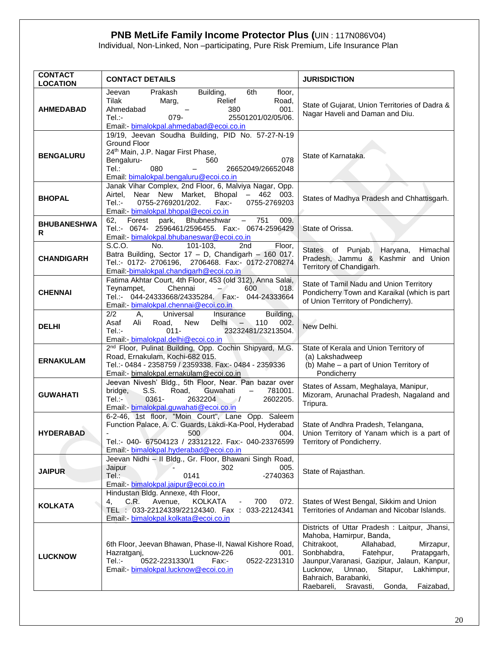Individual, Non-Linked, Non –participating, Pure Risk Premium, Life Insurance Plan

| <b>CONTACT</b><br><b>LOCATION</b> | <b>CONTACT DETAILS</b>                                                                                                                                                                                                                          | <b>JURISDICTION</b>                                                                                                                                                                                                                                                                                                              |
|-----------------------------------|-------------------------------------------------------------------------------------------------------------------------------------------------------------------------------------------------------------------------------------------------|----------------------------------------------------------------------------------------------------------------------------------------------------------------------------------------------------------------------------------------------------------------------------------------------------------------------------------|
| <b>AHMEDABAD</b>                  | Prakash<br>Building,<br>6th<br>floor,<br>Jeevan<br>Tilak<br>Relief<br>Road,<br>Marg,<br>Ahmedabad<br>380<br>001.<br>$Tel$ :-<br>079-<br>25501201/02/05/06.<br>Email:- bimalokpal.ahmedabad@ecoi.co.in                                           | State of Gujarat, Union Territories of Dadra &<br>Nagar Haveli and Daman and Diu.                                                                                                                                                                                                                                                |
| <b>BENGALURU</b>                  | 19/19, Jeevan Soudha Building, PID No. 57-27-N-19<br><b>Ground Floor</b><br>24th Main, J.P. Nagar First Phase,<br>078<br>560<br>Bengaluru-<br>Tel:<br>080<br>26652049/26652048<br>Email: bimalokpal.bengaluru@ecoi.co.in                        | State of Karnataka.                                                                                                                                                                                                                                                                                                              |
| <b>BHOPAL</b>                     | Janak Vihar Complex, 2nd Floor, 6, Malviya Nagar, Opp.<br>Airtel, Near New Market, Bhopal - 462 003.<br>Tel.:-<br>0755-2769201/202.<br>Fax:-<br>0755-2769203<br>Email: bimalokpal.bhopal@ecoi.co.in                                             | States of Madhya Pradesh and Chhattisgarh.                                                                                                                                                                                                                                                                                       |
| <b>BHUBANESHWA</b><br>R           | Forest park, Bhubneshwar<br>$-751$<br>009.<br>62.<br>Tel.:- 0674- 2596461/2596455. Fax:- 0674-2596429<br>Email:- bimalokpal.bhubaneswar@ecoi.co.in                                                                                              | State of Orissa.                                                                                                                                                                                                                                                                                                                 |
| <b>CHANDIGARH</b>                 | S.C.O.<br>No.<br>2 <sub>nd</sub><br>Floor,<br>$101 - 103$<br>Batra Building, Sector 17 - D, Chandigarh - 160 017.<br>Tel.:- 0172- 2706196, 2706468. Fax:- 0172-2708274<br>Email:-bimalokpal.chandigarh@ecoi.co.in                               | States of Punjab, Haryana,<br>Himachal<br>Pradesh, Jammu & Kashmir and Union<br>Territory of Chandigarh.                                                                                                                                                                                                                         |
| <b>CHENNAI</b>                    | Fatima Akhtar Court, 4th Floor, 453 (old 312), Anna Salai,<br>Teynampet,<br>Chennai<br>600<br>018.<br>$-$<br>Tel.:- 044-24333668/24335284. Fax:- 044-24333664<br>Email: bimalokpal.chennai@ecoi.co.in                                           | State of Tamil Nadu and Union Territory<br>Pondicherry Town and Karaikal (which is part<br>of Union Territory of Pondicherry).                                                                                                                                                                                                   |
| <b>DELHI</b>                      | 2/2<br>Building,<br>Universal<br>Insurance<br>Α,<br><b>Delhi</b><br>Asaf<br>Ali<br>Road,<br>New<br>110<br>002.<br>$ \sim$<br>$Tel$ :-<br>$011 -$<br>23232481/23213504.<br>Email: - bimalokpal.delhi@ecoi.co.in                                  | New Delhi.                                                                                                                                                                                                                                                                                                                       |
| <b>ERNAKULAM</b>                  | 2 <sup>nd</sup> Floor, Pulinat Building, Opp. Cochin Shipyard, M.G.<br>Road, Ernakulam, Kochi-682 015.<br>Tel.:- 0484 - 2358759 / 2359338. Fax:- 0484 - 2359336<br>Email:- bimalokpal.ernakulam@ecoi.co.in                                      | State of Kerala and Union Territory of<br>(a) Lakshadweep<br>(b) Mahe - a part of Union Territory of<br>Pondicherry                                                                                                                                                                                                              |
| <b>GUWAHATI</b>                   | Jeevan Nivesh' Bldg., 5th Floor, Near. Pan bazar over<br>S.S.<br>Road,<br>Guwahati<br>bridge,<br>$\qquad \qquad -$<br>781001.<br>$Tel$ :-<br>$0361 -$<br>2632204<br>2602205.<br>$\rightarrow$ $\prime$<br>Email: bimalokpal.guwahati@ecoi.co.in | States of Assam, Meghalaya, Manipur,<br>Mizoram, Arunachal Pradesh, Nagaland and<br>Tripura.                                                                                                                                                                                                                                     |
| <b>HYDERABAD</b>                  | 6-2-46, 1st floor, "Moin Court", Lane Opp. Saleem<br>Function Palace, A. C. Guards, Lakdi-Ka-Pool, Hyderabad<br>004.<br>500<br>Tel.:- 040- 67504123 / 23312122. Fax:- 040-23376599<br>Email:- bimalokpal.hyderabad@ecoi.co.in                   | State of Andhra Pradesh, Telangana,<br>Union Territory of Yanam which is a part of<br>Territory of Pondicherry.                                                                                                                                                                                                                  |
| <b>JAIPUR</b>                     | Jeevan Nidhi - II Bldg., Gr. Floor, Bhawani Singh Road,<br>005.<br>Jaipur<br>302<br>-2740363<br>Tel.:<br>0141<br>Email: - bimalokpal.jaipur@ecoi.co.in                                                                                          | State of Rajasthan.                                                                                                                                                                                                                                                                                                              |
| <b>KOLKATA</b>                    | Hindustan Bldg. Annexe, 4th Floor,<br>C.R.<br>Avenue,<br><b>KOLKATA</b><br>700<br>4.<br>072.<br>TEL : 033-22124339/22124340. Fax : 033-22124341<br>Email: - bimalokpal.kolkata@ecoi.co.in                                                       | States of West Bengal, Sikkim and Union<br>Territories of Andaman and Nicobar Islands.                                                                                                                                                                                                                                           |
| <b>LUCKNOW</b>                    | 6th Floor, Jeevan Bhawan, Phase-II, Nawal Kishore Road,<br>Lucknow-226<br>001.<br>Hazratganj,<br>0522-2231330/1<br>0522-2231310<br>Tel.:-<br>Fax:-<br>Email:- bimalokpal.lucknow@ecoi.co.in                                                     | Districts of Uttar Pradesh: Laitpur, Jhansi,<br>Mahoba, Hamirpur, Banda,<br>Chitrakoot,<br>Allahabad,<br>Mirzapur,<br>Sonbhabdra,<br>Fatehpur,<br>Pratapgarh,<br>Jaunpur, Varanasi, Gazipur, Jalaun, Kanpur,<br>Lucknow, Unnao,<br>Sitapur,<br>Lakhimpur,<br>Bahraich, Barabanki,<br>Raebareli, Sravasti,<br>Faizabad,<br>Gonda, |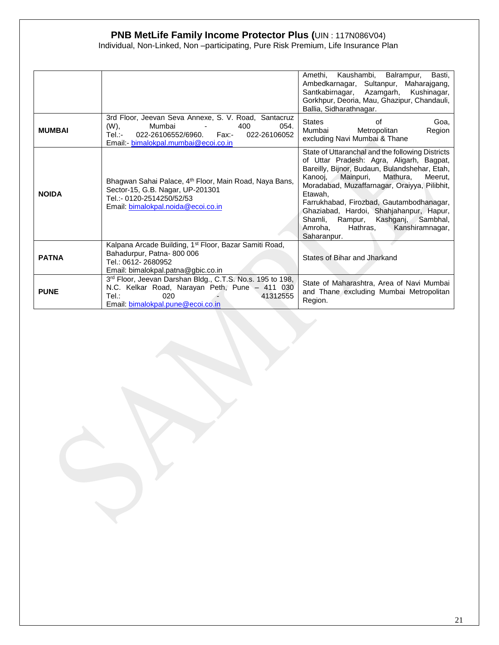Individual, Non-Linked, Non –participating, Pure Risk Premium, Life Insurance Plan

|               |                                                                                                                                                                                    | Kaushambi, Balrampur,<br>Basti.<br>Amethi.<br>Ambedkarnagar, Sultanpur, Maharajgang,<br>Santkabirnagar, Azamgarh, Kushinagar,<br>Gorkhpur, Deoria, Mau, Ghazipur, Chandauli,<br>Ballia, Sidharathnagar.                                                                                                                                                                                                                                       |
|---------------|------------------------------------------------------------------------------------------------------------------------------------------------------------------------------------|-----------------------------------------------------------------------------------------------------------------------------------------------------------------------------------------------------------------------------------------------------------------------------------------------------------------------------------------------------------------------------------------------------------------------------------------------|
| <b>MUMBAI</b> | 3rd Floor, Jeevan Seva Annexe, S. V. Road, Santacruz<br>(W),<br>Mumbai<br>400<br>054.<br>022-26106552/6960. Fax:-<br>Tel.:-<br>022-26106052<br>Email: bimalokpal.mumbai@ecoi.co.in | States<br>Goa,<br>οf<br>Metropolitan<br>Region<br>Mumbai<br>excluding Navi Mumbai & Thane                                                                                                                                                                                                                                                                                                                                                     |
| <b>NOIDA</b>  | Bhagwan Sahai Palace, 4 <sup>th</sup> Floor, Main Road, Naya Bans,<br>Sector-15, G.B. Nagar, UP-201301<br>Tel.:- 0120-2514250/52/53<br>Email: bimalokpal.noida@ecoi.co.in          | State of Uttaranchal and the following Districts<br>of Uttar Pradesh: Agra, Aligarh, Bagpat,<br>Bareilly, Bijnor, Budaun, Bulandshehar, Etah,<br>Kanooi.<br>Mathura,<br>Mainpuri,<br>Meerut.<br>Moradabad, Muzaffarnagar, Oraiyya, Pilibhit,<br>Etawah,<br>Farrukhabad, Firozbad, Gautambodhanagar,<br>Ghaziabad, Hardoi, Shahjahanpur, Hapur,<br>Shamli, Rampur, Kashganj, Sambhal,<br>Amroha,<br>Hathras,<br>Kanshiramnagar,<br>Saharanpur. |
| <b>PATNA</b>  | Kalpana Arcade Building, 1 <sup>st</sup> Floor, Bazar Samiti Road,<br>Bahadurpur, Patna-800 006<br>Tel.: 0612-2680952<br>Email: bimalokpal.patna@gbic.co.in                        | States of Bihar and Jharkand                                                                                                                                                                                                                                                                                                                                                                                                                  |
| <b>PUNE</b>   | 3rd Floor, Jeevan Darshan Bldg., C.T.S. No.s. 195 to 198,<br>N.C. Kelkar Road, Narayan Peth, Pune - 411 030<br>Tel:<br>020<br>41312555<br>Email: bimalokpal.pune@ecoi.co.in        | State of Maharashtra, Area of Navi Mumbai<br>and Thane excluding Mumbai Metropolitan<br>Region.                                                                                                                                                                                                                                                                                                                                               |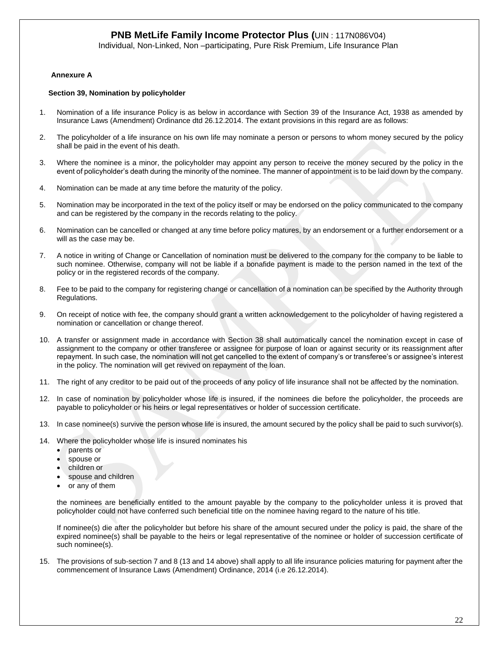Individual, Non-Linked, Non –participating, Pure Risk Premium, Life Insurance Plan

#### **Annexure A**

#### **Section 39, Nomination by policyholder**

- 1. Nomination of a life insurance Policy is as below in accordance with Section 39 of the Insurance Act, 1938 as amended by Insurance Laws (Amendment) Ordinance dtd 26.12.2014. The extant provisions in this regard are as follows:
- 2. The policyholder of a life insurance on his own life may nominate a person or persons to whom money secured by the policy shall be paid in the event of his death.
- 3. Where the nominee is a minor, the policyholder may appoint any person to receive the money secured by the policy in the event of policyholder's death during the minority of the nominee. The manner of appointment is to be laid down by the company.
- 4. Nomination can be made at any time before the maturity of the policy.
- 5. Nomination may be incorporated in the text of the policy itself or may be endorsed on the policy communicated to the company and can be registered by the company in the records relating to the policy.
- 6. Nomination can be cancelled or changed at any time before policy matures, by an endorsement or a further endorsement or a will as the case may be.
- 7. A notice in writing of Change or Cancellation of nomination must be delivered to the company for the company to be liable to such nominee. Otherwise, company will not be liable if a bonafide payment is made to the person named in the text of the policy or in the registered records of the company.
- 8. Fee to be paid to the company for registering change or cancellation of a nomination can be specified by the Authority through Regulations.
- 9. On receipt of notice with fee, the company should grant a written acknowledgement to the policyholder of having registered a nomination or cancellation or change thereof.
- 10. A transfer or assignment made in accordance with Section 38 shall automatically cancel the nomination except in case of assignment to the company or other transferee or assignee for purpose of loan or against security or its reassignment after repayment. In such case, the nomination will not get cancelled to the extent of company's or transferee's or assignee's interest in the policy. The nomination will get revived on repayment of the loan.
- 11. The right of any creditor to be paid out of the proceeds of any policy of life insurance shall not be affected by the nomination.
- 12. In case of nomination by policyholder whose life is insured, if the nominees die before the policyholder, the proceeds are payable to policyholder or his heirs or legal representatives or holder of succession certificate.
- 13. In case nominee(s) survive the person whose life is insured, the amount secured by the policy shall be paid to such survivor(s).
- 14. Where the policyholder whose life is insured nominates his
	- parents or
	- spouse or
	- children or
	- spouse and children
	- or any of them

the nominees are beneficially entitled to the amount payable by the company to the policyholder unless it is proved that policyholder could not have conferred such beneficial title on the nominee having regard to the nature of his title.

If nominee(s) die after the policyholder but before his share of the amount secured under the policy is paid, the share of the expired nominee(s) shall be payable to the heirs or legal representative of the nominee or holder of succession certificate of such nominee(s).

15. The provisions of sub-section 7 and 8 (13 and 14 above) shall apply to all life insurance policies maturing for payment after the commencement of Insurance Laws (Amendment) Ordinance, 2014 (i.e 26.12.2014).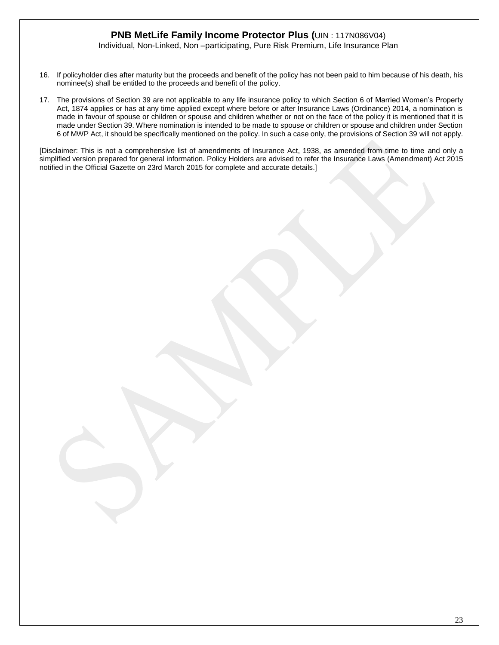Individual, Non-Linked, Non –participating, Pure Risk Premium, Life Insurance Plan

- 16. If policyholder dies after maturity but the proceeds and benefit of the policy has not been paid to him because of his death, his nominee(s) shall be entitled to the proceeds and benefit of the policy.
- 17. The provisions of Section 39 are not applicable to any life insurance policy to which Section 6 of Married Women's Property Act, 1874 applies or has at any time applied except where before or after Insurance Laws (Ordinance) 2014, a nomination is made in favour of spouse or children or spouse and children whether or not on the face of the policy it is mentioned that it is made under Section 39. Where nomination is intended to be made to spouse or children or spouse and children under Section 6 of MWP Act, it should be specifically mentioned on the policy. In such a case only, the provisions of Section 39 will not apply.

[Disclaimer: This is not a comprehensive list of amendments of Insurance Act, 1938, as amended from time to time and only a simplified version prepared for general information. Policy Holders are advised to refer the Insurance Laws (Amendment) Act 2015 notified in the Official Gazette on 23rd March 2015 for complete and accurate details.]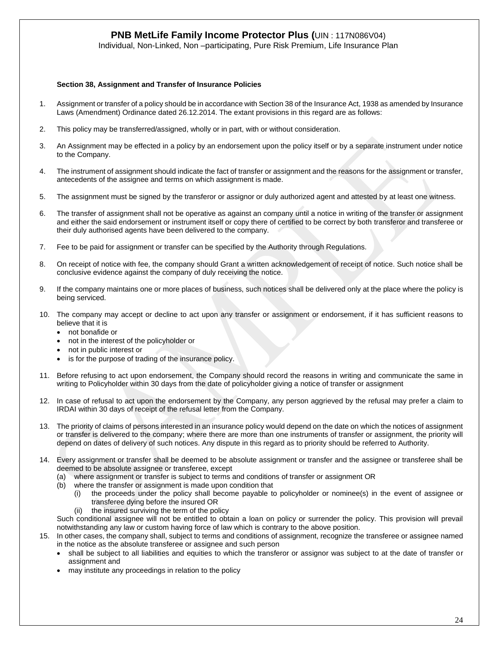Individual, Non-Linked, Non –participating, Pure Risk Premium, Life Insurance Plan

#### **Section 38, Assignment and Transfer of Insurance Policies**

- 1. Assignment or transfer of a policy should be in accordance with Section 38 of the Insurance Act, 1938 as amended by Insurance Laws (Amendment) Ordinance dated 26.12.2014. The extant provisions in this regard are as follows:
- 2. This policy may be transferred/assigned, wholly or in part, with or without consideration.
- 3. An Assignment may be effected in a policy by an endorsement upon the policy itself or by a separate instrument under notice to the Company.
- 4. The instrument of assignment should indicate the fact of transfer or assignment and the reasons for the assignment or transfer, antecedents of the assignee and terms on which assignment is made.
- 5. The assignment must be signed by the transferor or assignor or duly authorized agent and attested by at least one witness.
- 6. The transfer of assignment shall not be operative as against an company until a notice in writing of the transfer or assignment and either the said endorsement or instrument itself or copy there of certified to be correct by both transferor and transferee or their duly authorised agents have been delivered to the company.
- 7. Fee to be paid for assignment or transfer can be specified by the Authority through Regulations.
- 8. On receipt of notice with fee, the company should Grant a written acknowledgement of receipt of notice. Such notice shall be conclusive evidence against the company of duly receiving the notice.
- 9. If the company maintains one or more places of business, such notices shall be delivered only at the place where the policy is being serviced.
- 10. The company may accept or decline to act upon any transfer or assignment or endorsement, if it has sufficient reasons to believe that it is
	- not bonafide or
	- not in the interest of the policyholder or
	- not in public interest or
	- is for the purpose of trading of the insurance policy.
- 11. Before refusing to act upon endorsement, the Company should record the reasons in writing and communicate the same in writing to Policyholder within 30 days from the date of policyholder giving a notice of transfer or assignment
- 12. In case of refusal to act upon the endorsement by the Company, any person aggrieved by the refusal may prefer a claim to IRDAI within 30 days of receipt of the refusal letter from the Company.
- 13. The priority of claims of persons interested in an insurance policy would depend on the date on which the notices of assignment or transfer is delivered to the company; where there are more than one instruments of transfer or assignment, the priority will depend on dates of delivery of such notices. Any dispute in this regard as to priority should be referred to Authority.
- 14. Every assignment or transfer shall be deemed to be absolute assignment or transfer and the assignee or transferee shall be deemed to be absolute assignee or transferee, except
	- (a) where assignment or transfer is subject to terms and conditions of transfer or assignment OR
	- (b) where the transfer or assignment is made upon condition that
		- (i) the proceeds under the policy shall become payable to policyholder or nominee(s) in the event of assignee or transferee dying before the insured OR
		- (ii) the insured surviving the term of the policy

Such conditional assignee will not be entitled to obtain a loan on policy or surrender the policy. This provision will prevail notwithstanding any law or custom having force of law which is contrary to the above position.

- 15. In other cases, the company shall, subject to terms and conditions of assignment, recognize the transferee or assignee named in the notice as the absolute transferee or assignee and such person
	- shall be subject to all liabilities and equities to which the transferor or assignor was subject to at the date of transfer or assignment and
	- may institute any proceedings in relation to the policy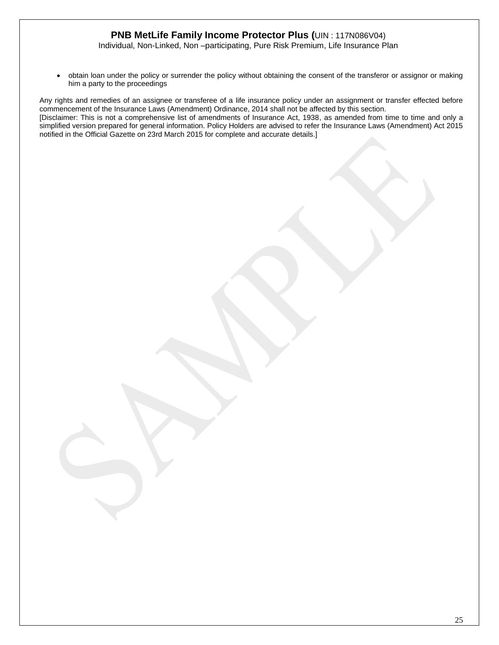Individual, Non-Linked, Non –participating, Pure Risk Premium, Life Insurance Plan

• obtain loan under the policy or surrender the policy without obtaining the consent of the transferor or assignor or making him a party to the proceedings

Any rights and remedies of an assignee or transferee of a life insurance policy under an assignment or transfer effected before commencement of the Insurance Laws (Amendment) Ordinance, 2014 shall not be affected by this section. [Disclaimer: This is not a comprehensive list of amendments of Insurance Act, 1938, as amended from time to time and only a simplified version prepared for general information. Policy Holders are advised to refer the Insurance Laws (Amendment) Act 2015 notified in the Official Gazette on 23rd March 2015 for complete and accurate details.]